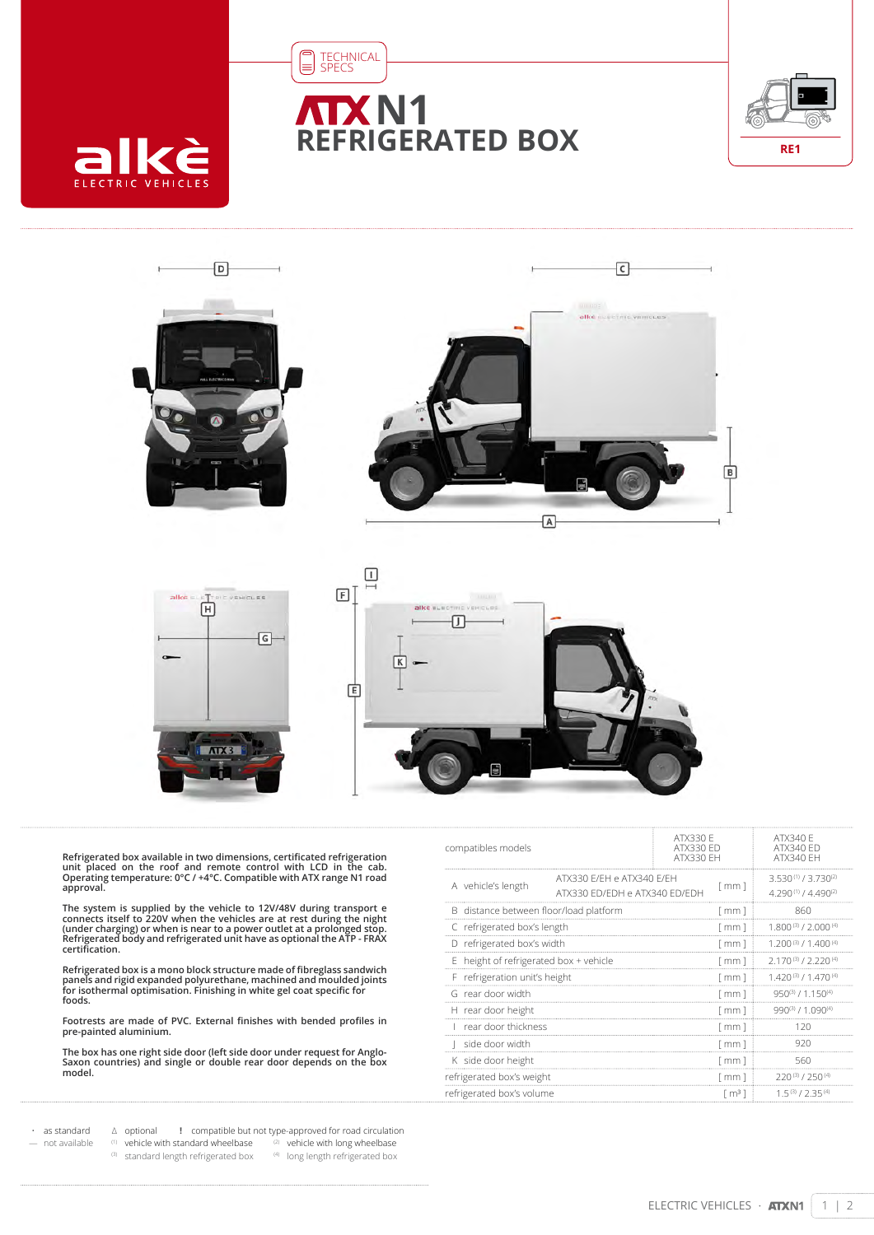

## **N1 REFRIGERATED BOX**



回









Refrigerated box available in two dimensions, certificated refrigeration<br>unit placed on the roof and remote control with LCD in the cab.<br>Operating temperature: 0°C / +4°C. Compatible with ATX range N1 road **approval.**

The system is supplied by the vehicle to 12V/48V during transport e<br>connects itself to 220V when the vehicles are at rest during the night<br>(under charging) or when is near to a power outlet at a prolonged stop.<br>Refrigerate **certification.**

Refrigerated box is a mono block structure made of fibreglass sandwich<br>panels and rigid expanded polyurethane, machined and moulded joints<br>for isothermal optimisation. Finishing in white gel coat specific for **foods.**

**Footrests are made of PVC. External finishes with bended profiles in pre-painted aluminium.**

**The box has one right side door (left side door under request for Anglo-Saxon countries) and single or double rear door depends on the box model.**

| compatibles models                                                               |  | ATX330 F<br>ATX330 ED<br>ATX330 FH |                      | ATX340 F<br><b>ATX340 ED</b><br>ATX340 FH            |
|----------------------------------------------------------------------------------|--|------------------------------------|----------------------|------------------------------------------------------|
| ATX330 E/EH e ATX340 E/EH<br>A vehicle's length<br>ATX330 FD/FDH e ATX340 FD/FDH |  |                                    | $\lceil mm \rceil$   | $3.530^{(1)}/3.730^{(2)}$<br>$4.290(1)$ / $4.490(2)$ |
| B distance between floor/load platform                                           |  |                                    | [mm]                 | 860                                                  |
| C refrigerated box's length                                                      |  |                                    | [ mm ]               | $1.800(3)$ / $2.000(4)$                              |
| D refrigerated box's width                                                       |  |                                    | f mm 1               | $1.200(3)$ / $1.400(4)$                              |
| E height of refrigerated box + vehicle                                           |  |                                    | $\lceil mm \rceil$   | $2.170^{(3)}$ / 2.220 <sup>(4)</sup>                 |
| F refrigeration unit's height                                                    |  |                                    | f mm 1               | $1.420^{(3)}/1.470^{(4)}$                            |
| G rear door width                                                                |  | [ mm ]                             | 950(3) / 1.150(4)    |                                                      |
| H rear door height                                                               |  |                                    | f mm 1               | $990^{(3)}$ / 1.090 <sup>(4)</sup>                   |
| rear door thickness                                                              |  | $\lceil$ mm $\rceil$               | 120                  |                                                      |
| side door width                                                                  |  |                                    | $\lceil$ mm $\rceil$ | 920                                                  |
| K side door height                                                               |  | $\lceil$ mm $\rceil$               | 560                  |                                                      |
| refrigerated box's weight                                                        |  | $\lceil$ mm $\rceil$               | 720(3)/750(4)        |                                                      |
| refrigerated box's volume                                                        |  | $\lceil m^3 \rceil$                | 15(3)/735(4)         |                                                      |
|                                                                                  |  |                                    |                      |                                                      |

• as standard ∆ optional **!** compatible but not type-approved for road circulation not available  $(1)$  vehicle with standard wheelbase  $(2)$  vehicle with long wheelbase  $(3)$  standard length refrigerated box  $(4)$  long length refrigerated box